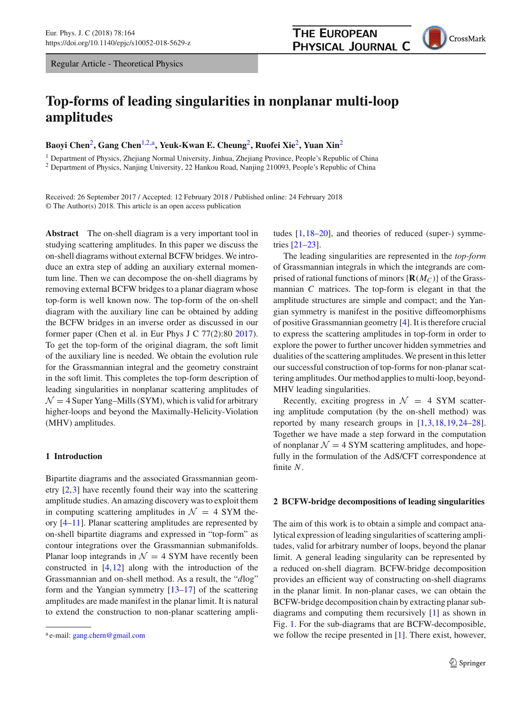Regular Article - Theoretical Physics

# **Top-forms of leading singularities in nonplanar multi-loop amplitudes**

**Baoyi Chen**[2](#page-0-0)**, Gang Chen**[1,2,](#page-0-0)a**, Yeuk-Kwan E. Cheung**[2](#page-0-0)**, Ruofei Xie**[2](#page-0-0)**, Yuan Xin**[2](#page-0-0)

<sup>1</sup> Department of Physics, Zhejiang Normal University, Jinhua, Zhejiang Province, People's Republic of China <sup>2</sup> Department of Physics, Nanjing University, 22 Hankou Road, Nanjing 210093, People's Republic of China

Received: 26 September 2017 / Accepted: 12 February 2018 / Published online: 24 February 2018 © The Author(s) 2018. This article is an open access publication

**Abstract** The on-shell diagram is a very important tool in studying scattering amplitudes. In this paper we discuss the on-shell diagrams without external BCFW bridges. We introduce an extra step of adding an auxiliary external momentum line. Then we can decompose the on-shell diagrams by removing external BCFW bridges to a planar diagram whose top-form is well known now. The top-form of the on-shell diagram with the auxiliary line can be obtained by adding the BCFW bridges in an inverse order as discussed in our former paper (Chen et al. in Eur Phys J C 77(2):80 [2017\)](#page-8-0). To get the top-form of the original diagram, the soft limit of the auxiliary line is needed. We obtain the evolution rule for the Grassmannian integral and the geometry constraint in the soft limit. This completes the top-form description of leading singularities in nonplanar scattering amplitudes of  $\mathcal{N} = 4$  Super Yang–Mills (SYM), which is valid for arbitrary higher-loops and beyond the Maximally-Helicity-Violation (MHV) amplitudes.

## **1 Introduction**

Bipartite diagrams and the associated Grassmannian geometry [\[2](#page-8-1)[,3](#page-8-2)] have recently found their way into the scattering amplitude studies. An amazing discovery was to exploit them in computing scattering amplitudes in  $\mathcal{N} = 4$  SYM theory [\[4](#page-8-3)[–11](#page-8-4)]. Planar scattering amplitudes are represented by on-shell bipartite diagrams and expressed in "top-form" as contour integrations over the Grassmannian submanifolds. Planar loop integrands in  $\mathcal{N} = 4$  SYM have recently been constructed in [\[4,](#page-8-3)[12\]](#page-8-5) along with the introduction of the Grassmannian and on-shell method. As a result, the "*d*log" form and the Yangian symmetry [\[13](#page-8-6)[–17\]](#page-8-7) of the scattering amplitudes are made manifest in the planar limit. It is natural to extend the construction to non-planar scattering amplitudes [\[1](#page-8-0)[,18](#page-8-8)[–20](#page-8-9)], and theories of reduced (super-) symmetries [\[21](#page-8-10)[–23](#page-8-11)].

The leading singularities are represented in the *top-form* of Grassmannian integrals in which the integrands are comprised of rational functions of minors  ${R(M_C)}$  of the Grassmannian *C* matrices. The top-form is elegant in that the amplitude structures are simple and compact; and the Yangian symmetry is manifest in the positive diffeomorphisms of positive Grassmannian geometry [\[4\]](#page-8-3). It is therefore crucial to express the scattering amplitudes in top-form in order to explore the power to further uncover hidden symmetries and dualities of the scattering amplitudes. We present in this letter our successful construction of top-forms for non-planar scattering amplitudes. Our method applies to multi-loop, beyond-MHV leading singularities.

Recently, exciting progress in  $\mathcal{N} = 4$  SYM scattering amplitude computation (by the on-shell method) was reported by many research groups in [\[1,](#page-8-0)[3](#page-8-2)[,18](#page-8-8)[,19](#page-8-12),[24](#page-8-13)[–28](#page-8-14)]. Together we have made a step forward in the computation of nonplanar  $\mathcal{N} = 4$  SYM scattering amplitudes, and hopefully in the formulation of the AdS/CFT correspondence at finite *N*.

#### **2 BCFW-bridge decompositions of leading singularities**

The aim of this work is to obtain a simple and compact analytical expression of leading singularities of scattering amplitudes, valid for arbitrary number of loops, beyond the planar limit. A general leading singularity can be represented by a reduced on-shell diagram. BCFW-bridge decomposition provides an efficient way of constructing on-shell diagrams in the planar limit. In non-planar cases, we can obtain the BCFW-bridge decomposition chain by extracting planar subdiagrams and computing them recursively [\[1\]](#page-8-0) as shown in Fig. [1.](#page-1-0) For the sub-diagrams that are BCFW-decomposible, we follow the recipe presented in [\[1](#page-8-0)]. There exist, however,

<span id="page-0-0"></span>

<sup>a</sup> e-mail: [gang.chern@gmail.com](mailto:gang.chern@gmail.com)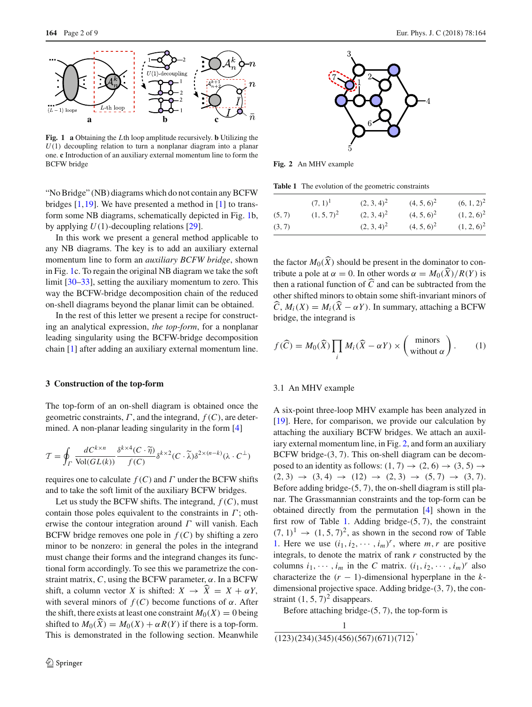

<span id="page-1-0"></span>**Fig. 1 a** Obtaining the *L*th loop amplitude recursively. **b** Utilizing the  $U(1)$  decoupling relation to turn a nonplanar diagram into a planar one. **c** Introduction of an auxiliary external momentum line to form the BCFW bridge

"No Bridge" (NB) diagrams which do not contain any BCFW bridges  $[1,19]$  $[1,19]$  $[1,19]$ . We have presented a method in  $[1]$  to transform some NB diagrams, schematically depicted in Fig. [1b](#page-1-0), by applying *U*(1)-decoupling relations [\[29\]](#page-8-15).

In this work we present a general method applicable to any NB diagrams. The key is to add an auxiliary external momentum line to form an *auxiliary BCFW bridge*, shown in Fig. [1c](#page-1-0). To regain the original NB diagram we take the soft limit [\[30](#page-8-16)[–33\]](#page-8-17), setting the auxiliary momentum to zero. This way the BCFW-bridge decomposition chain of the reduced on-shell diagrams beyond the planar limit can be obtained.

In the rest of this letter we present a recipe for constructing an analytical expression, *the top-form*, for a nonplanar leading singularity using the BCFW-bridge decomposition chain [\[1](#page-8-0)] after adding an auxiliary external momentum line.

#### **3 Construction of the top-form**

The top-form of an on-shell diagram is obtained once the geometric constraints, Γ , and the integrand, *f* (*C*), are determined. A non-planar leading singularity in the form [\[4](#page-8-3)]

$$
\mathcal{T} = \oint_{\Gamma} \frac{dC^{k \times n}}{\text{Vol}(GL(k))} \frac{\delta^{k \times 4}(C \cdot \widetilde{\eta})}{f(C)} \delta^{k \times 2}(C \cdot \widetilde{\lambda}) \delta^{2 \times (n-k)}(\lambda \cdot C^{\perp})
$$

requires one to calculate *f* (*C*) and Γ under the BCFW shifts and to take the soft limit of the auxiliary BCFW bridges.

Let us study the BCFW shifts. The integrand,  $f(C)$ , must contain those poles equivalent to the constraints in  $\Gamma$ ; otherwise the contour integration around  $\Gamma$  will vanish. Each BCFW bridge removes one pole in  $f(C)$  by shifting a zero minor to be nonzero: in general the poles in the integrand must change their forms and the integrand changes its functional form accordingly. To see this we parametrize the constraint matrix,  $C$ , using the BCFW parameter,  $\alpha$ . In a BCFW shift, a column vector *X* is shifted:  $X \rightarrow \hat{X} = X + \alpha Y$ , with several minors of  $f(C)$  become functions of  $\alpha$ . After the shift, there exists at least one constraint  $M_0(X) = 0$  being shifted to  $M_0(\widehat{X}) = M_0(X) + \alpha R(Y)$  if there is a top-form. This is demonstrated in the following section. Meanwhile



<span id="page-1-1"></span>**Fig. 2** An MHV example

**Table 1** The evolution of the geometric constraints

<span id="page-1-2"></span>

|        | $(7, 1)^1$    | $(2, 3, 4)^2$ | $(4, 5, 6)^2$ | $(6, 1, 2)^2$ |
|--------|---------------|---------------|---------------|---------------|
| (5, 7) | $(1, 5, 7)^2$ | $(2, 3, 4)^2$ | $(4, 5, 6)^2$ | $(1, 2, 6)^2$ |
| (3, 7) |               | $(2, 3, 4)^2$ | $(4, 5, 6)^2$ | $(1, 2, 6)^2$ |

the factor  $M_0(\widehat{X})$  should be present in the dominator to contribute a pole at  $\alpha = 0$ . In other words  $\alpha = M_0(\widehat{X})/R(Y)$  is then a rational function of  $C$  and can be subtracted from the other shifted minors to obtain some shift-invariant minors of  $C, M_i(X) = M_i(X - \alpha Y)$ . In summary, attaching a BCFW bridge, the integrand is

<span id="page-1-3"></span>
$$
f(\widehat{C}) = M_0(\widehat{X}) \prod_i M_i(\widehat{X} - \alpha Y) \times \begin{pmatrix} \text{minors} \\ \text{without } \alpha \end{pmatrix}.
$$
 (1)

#### 3.1 An MHV example

A six-point three-loop MHV example has been analyzed in [\[19](#page-8-12)]. Here, for comparison, we provide our calculation by attaching the auxiliary BCFW bridges. We attach an auxiliary external momentum line, in Fig. [2,](#page-1-1) and form an auxiliary BCFW bridge-(3, 7). This on-shell diagram can be decomposed to an identity as follows:  $(1, 7) \rightarrow (2, 6) \rightarrow (3, 5) \rightarrow$  $(2, 3) \rightarrow (3, 4) \rightarrow (12) \rightarrow (2, 3) \rightarrow (5, 7) \rightarrow (3, 7).$ Before adding bridge-(5, 7), the on-shell diagram is still planar. The Grassmannian constraints and the top-form can be obtained directly from the permutation [\[4\]](#page-8-3) shown in the first row of Table [1.](#page-1-2) Adding bridge-(5, 7), the constraint  $(7, 1)^1 \rightarrow (1, 5, 7)^2$ , as shown in the second row of Table [1.](#page-1-2) Here we use  $(i_1, i_2, \dots, i_m)^r$ , where  $m, r$  are positive integrals, to denote the matrix of rank *r* constructed by the columns  $i_1, \dots, i_m$  in the *C* matrix.  $(i_1, i_2, \dots, i_m)^r$  also characterize the  $(r - 1)$ -dimensional hyperplane in the *k*dimensional projective space. Adding bridge-(3, 7), the constraint  $(1, 5, 7)^2$  disappears.

Before attaching bridge-(5, 7), the top-form is

$$
\frac{1}{(123)(234)(345)(456)(567)(671)(712)}
$$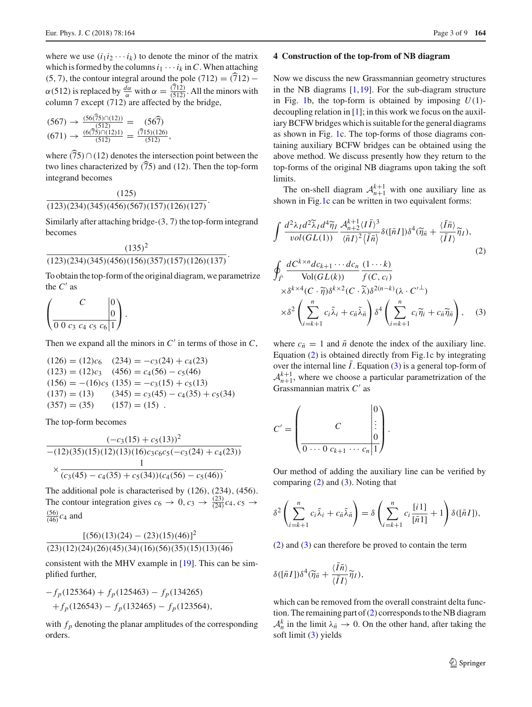where we use  $(i_1 i_2 \cdots i_k)$  to denote the minor of the matrix which is formed by the columns  $i_1 \cdots i_k$  in C. When attaching (5, 7), the contour integral around the pole (712) =  $(712)$  –  $\alpha$ (512) is replaced by  $\frac{d\alpha}{\alpha}$  with  $\alpha = \frac{(712)}{(512)}$ . All the minors with column 7 except  $(712)$  are affected by the bridge,

$$
(567) \rightarrow \frac{(56(75)\cap(12))}{(512)} = (56\widehat{7})
$$
  

$$
(671) \rightarrow \frac{(6(75)\cap(12)1)}{(512)} = \frac{(\widehat{7}15)(126)}{(512)},
$$

where  $(75) \cap (12)$  denotes the intersection point between the two lines characterized by  $(75)$  and (12). Then the top-form integrand becomes

$$
\frac{(125)}{(123)(234)(345)(456)(567)(157)(126)(127)}.
$$

Similarly after attaching bridge- $(3, 7)$  the top-form integrand becomes

## $(135)^2$

# $\frac{(123)(234)(345)(456)(156)(357)(157)(126)(137)}{123(234)(345)(456)(156)(357)(157)(126)(137)}$

To obtain the top-form of the original diagram, we parametrize the  $C'$  as

$$
\left(\begin{array}{c|c} C & 0 \\ \hline 0 & 0 & 0 \\ \hline 0 & 0 & 0 & 0 \\ \end{array}\right).
$$

Then we expand all the minors in  $C'$  in terms of those in  $C$ ,

$$
(126) = (12)c6 (234) = -c3(24) + c4(23)
$$
  
\n
$$
(123) = (12)c3 (456) = c4(56) - c5(46)
$$
  
\n
$$
(156) = -(16)c5 (135) = -c3(15) + c5(13)
$$
  
\n
$$
(137) = (13) (345) = c3(45) - c4(35) + c5(34)
$$
  
\n
$$
(357) = (35) (157) = (15).
$$

The top-form becomes

$$
\frac{(-c_3(15) + c_5(13))^2}{-(12)(35)(15)(12)(13)(16)c_3c_6c_5(-c_3(24) + c_4(23))}
$$

$$
\times \frac{1}{(c_3(45) - c_4(35) + c_5(34))(c_4(56) - c_5(46))}.
$$

The additional pole is characterised by (126), (234), (456). The contour integration gives  $c_6 \rightarrow 0$ ,  $c_3 \rightarrow \frac{(23)}{(24)}c_4$ ,  $c_5 \rightarrow$  $\frac{(56)}{(46)}c_4$  and

$$
\frac{[(56)(13)(24) - (23)(15)(46)]^2}{(23)(12)(24)(26)(45)(34)(16)(56)(35)(15)(13)(46)}
$$

consistent with the MHV example in [\[19](#page-8-12)]. This can be simplified further,

$$
-f_p(125364) + f_p(125463) - f_p(134265)
$$
  
+
$$
f_p(126543) - f_p(132465) - f_p(123564),
$$

with  $f_p$  denoting the planar amplitudes of the corresponding orders.

#### **4 Construction of the top-from of NB diagram**

Now we discuss the new Grassmannian geometry structures in the NB diagrams [\[1,](#page-8-0)[19\]](#page-8-12). For the sub-diagram structure in Fig. [1b](#page-1-0), the top-form is obtained by imposing  $U(1)$ decoupling relation in [\[1](#page-8-0)]; in this work we focus on the auxiliary BCFW bridges which is suitable for the general diagrams as shown in Fig. [1c](#page-1-0). The top-forms of those diagrams containing auxiliary BCFW bridges can be obtained using the above method. We discuss presently how they return to the top-forms of the original NB diagrams upon taking the soft limits.

The on-shell diagram  $A_{n+1}^{k+1}$  with one auxiliary line as shown in Fig[.1c](#page-1-0) can be written in two equivalent forms:

<span id="page-2-0"></span>
$$
\int \frac{d^2 \lambda_I d^2 \widetilde{\lambda}_I d^4 \widetilde{\eta}_I}{\nu o l(GL(1))} \frac{A_{n+2}^{k+1} \langle I\bar{I}\rangle^3}{\langle \bar{n}I\rangle^2 \langle \bar{I}\bar{n}\rangle} \delta([\bar{n}I]) \delta^4(\widetilde{\eta}_{\bar{n}} + \frac{\langle \bar{I}\bar{n}\rangle}{\langle \bar{I}I\rangle} \widetilde{\eta}_I),
$$
\n
$$
\oint_{\bar{\Gamma}} \frac{dC^{k \times n} d c_{k+1} \cdots d c_n}{\text{Vol}(GL(k))} \frac{(1 \cdots k)}{f(C, c_i)} \times \delta^{k \times 4}(C \cdot \widetilde{\eta}) \delta^{k \times 2}(C \cdot \widetilde{\lambda}) \delta^{2(n-k)}(\lambda \cdot C'^{\perp}) \times \delta^2 \left(\sum_{i=k+1}^n c_i \widetilde{\lambda}_i + c_{\bar{n}} \widetilde{\lambda}_{\bar{n}}\right) \delta^4 \left(\sum_{i=k+1}^n c_i \widetilde{\eta}_i + c_{\bar{n}} \widetilde{\eta}_{\bar{n}}\right), \quad (3)
$$

where  $c_{\overline{n}} = 1$  and  $\overline{n}$  denote the index of the auxiliary line. Equation [\(2\)](#page-2-0) is obtained directly from Fig[.1c](#page-1-0) by integrating over the internal line  $\overline{I}$ . Equation [\(3\)](#page-2-0) is a general top-form of  $A^{k+1}_{n+1}$ , where we choose a particular parametrization of the Grassmannian matrix  $C'$  as

$$
C' = \begin{pmatrix} C & 0 \\ \vdots & \vdots \\ \hline 0 & \cdots & 0 \\ 0 & \cdots & 0 \\ \hline \end{pmatrix}.
$$

Our method of adding the auxiliary line can be verified by comparing [\(2\)](#page-2-0) and [\(3\)](#page-2-0). Noting that

$$
\delta^2 \left( \sum_{i=k+1}^n c_i \tilde{\lambda}_i + c_{\bar{n}} \tilde{\lambda}_{\bar{n}} \right) = \delta \left( \sum_{i=k+1}^n c_i \frac{[i\,1]}{[\bar{n}1]} + 1 \right) \delta([\bar{n}I]),
$$

[\(2\)](#page-2-0) and [\(3\)](#page-2-0) can therefore be proved to contain the term

$$
\delta([\bar{n}I])\delta^4(\widetilde{\eta}_{\bar{n}}+\frac{\langle\bar{I}\bar{n}\rangle}{\langle\bar{I}I\rangle}\widetilde{\eta}_I),
$$

which can be removed from the overall constraint delta function. The remaining part of [\(2\)](#page-2-0) corresponds to the NB diagram  $A_n^k$  in the limit  $\lambda_{\bar{n}} \to 0$ . On the other hand, after taking the soft limit [\(3\)](#page-2-0) yields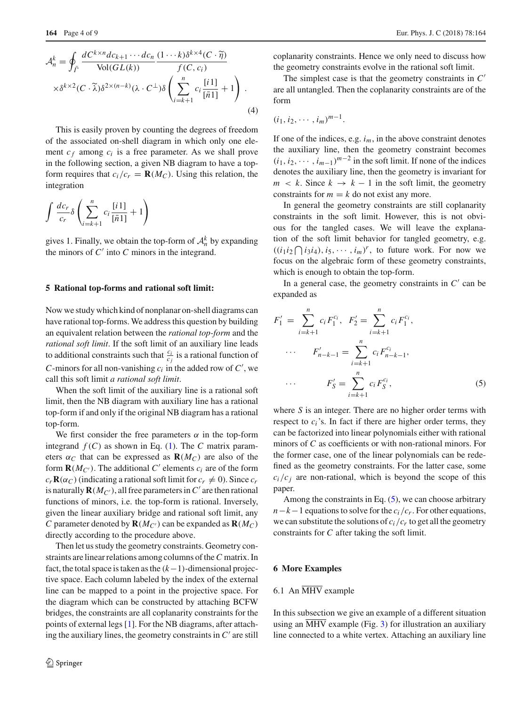$$
\mathcal{A}_{n}^{k} = \oint_{\overline{\Gamma}} \frac{dC^{k \times n} d c_{k+1} \cdots d c_{n}}{\text{Vol}(GL(k))} \frac{(1 \cdots k) \delta^{k \times 4} (C \cdot \widetilde{\eta})}{f(C, c_{i})}
$$

$$
\times \delta^{k \times 2} (C \cdot \widetilde{\lambda}) \delta^{2 \times (n-k)} (\lambda \cdot C^{\perp}) \delta \left( \sum_{i=k+1}^{n} c_{i} \frac{[i \cdot 1]}{[\overline{n} 1]} + 1 \right).
$$
(4)

This is easily proven by counting the degrees of freedom of the associated on-shell diagram in which only one element  $c_f$  among  $c_i$  is a free parameter. As we shall prove in the following section, a given NB diagram to have a topform requires that  $c_i/c_r = \mathbf{R}(M_C)$ . Using this relation, the integration

$$
\int \frac{dc_r}{c_r} \delta \left( \sum_{i=k+1}^n c_i \frac{[i\,1]}{[\bar{n}1]} + 1 \right)
$$

gives 1. Finally, we obtain the top-form of  $A_n^k$  by expanding the minors of  $C'$  into  $C$  minors in the integrand.

#### **5 Rational top-forms and rational soft limit:**

Now we study which kind of nonplanar on-shell diagrams can have rational top-forms. We address this question by building an equivalent relation between the *rational top-form* and the *rational soft limit*. If the soft limit of an auxiliary line leads to additional constraints such that  $\frac{c_i}{c_j}$  is a rational function of *C*-minors for all non-vanishing  $c_i$  in the added row of  $C'$ , we call this soft limit *a rational soft limit*.

When the soft limit of the auxiliary line is a rational soft limit, then the NB diagram with auxiliary line has a rational top-form if and only if the original NB diagram has a rational top-form.

We first consider the free parameters  $\alpha$  in the top-form integrand  $f(C)$  as shown in Eq. [\(1\)](#page-1-3). The *C* matrix parameters  $\alpha_C$  that can be expressed as  $\mathbf{R}(M_C)$  are also of the form  $\mathbf{R}(M_{C})$ . The additional C' elements  $c_i$  are of the form  $c_r \mathbf{R}(\alpha_C)$  (indicating a rational soft limit for  $c_r \neq 0$ ). Since  $c_r$ is naturally  $\mathbf{R}(M_{C})$ , all free parameters in  $C'$  are then rational functions of minors, i.e. the top-form is rational. Inversely, given the linear auxiliary bridge and rational soft limit, any *C* parameter denoted by  $\mathbf{R}(M_C)$  can be expanded as  $\mathbf{R}(M_C)$ directly according to the procedure above.

Then let us study the geometry constraints. Geometry constraints are linear relations among columns of the*C* matrix. In fact, the total space is taken as the (*k*−1)-dimensional projective space. Each column labeled by the index of the external line can be mapped to a point in the projective space. For the diagram which can be constructed by attaching BCFW bridges, the constraints are all coplanarity constraints for the points of external legs [\[1\]](#page-8-0). For the NB diagrams, after attaching the auxiliary lines, the geometry constraints in  $C'$  are still coplanarity constraints. Hence we only need to discuss how the geometry constraints evolve in the rational soft limit.

The simplest case is that the geometry constraints in *C* are all untangled. Then the coplanarity constraints are of the form

$$
(i_1,i_2,\cdots,i_m)^{m-1}.
$$

If one of the indices, e.g.  $i_m$ , in the above constraint denotes the auxiliary line, then the geometry constraint becomes  $(i_1, i_2, \cdots, i_{m-1})^{m-2}$  in the soft limit. If none of the indices denotes the auxiliary line, then the geometry is invariant for  $m \leq k$ . Since  $k \to k - 1$  in the soft limit, the geometry constraints for  $m = k$  do not exist any more.

In general the geometry constraints are still coplanarity constraints in the soft limit. However, this is not obvious for the tangled cases. We will leave the explanation of the soft limit behavior for tangled geometry, e.g.  $((i_1 i_2 \bigcap i_3 i_4), i_5, \cdots, i_m)^r$ , to future work. For now we focus on the algebraic form of these geometry constraints, which is enough to obtain the top-form.

In a general case, the geometry constraints in  $C'$  can be expanded as

<span id="page-3-0"></span>
$$
F'_{1} = \sum_{i=k+1}^{n} c_{i} F_{1}^{c_{i}}, \quad F'_{2} = \sum_{i=k+1}^{n} c_{i} F_{1}^{c_{i}},
$$

$$
\cdots \qquad F'_{n-k-1} = \sum_{i=k+1}^{n} c_{i} F_{n-k-1}^{c_{i}},
$$

$$
\cdots \qquad F'_{S} = \sum_{i=k+1}^{n} c_{i} F_{S}^{c_{i}},
$$
(5)

where *S* is an integer. There are no higher order terms with respect to  $c_i$ 's. In fact if there are higher order terms, they can be factorized into linear polynomials either with rational minors of *C* as coefficients or with non-rational minors. For the former case, one of the linear polynomials can be redefined as the geometry constraints. For the latter case, some  $c_i/c_j$  are non-rational, which is beyond the scope of this paper.

Among the constraints in Eq.  $(5)$ , we can choose arbitrary  $n-k-1$  equations to solve for the  $c_i/c_r$ . For other equations, we can substitute the solutions of  $c_i/c_r$  to get all the geometry constraints for *C* after taking the soft limit.

#### **6 More Examples**

## 6.1 An  $\overline{\text{MHV}}$  example

In this subsection we give an example of a different situation using an MHV example (Fig. [3\)](#page-4-0) for illustration an auxiliary line connected to a white vertex. Attaching an auxiliary line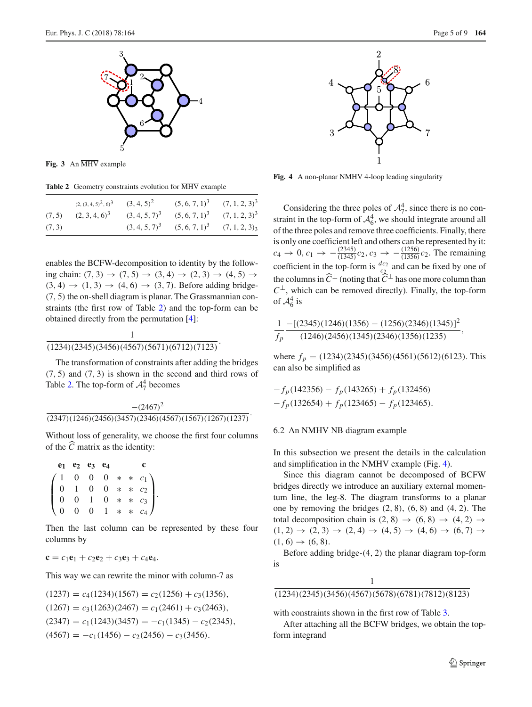

<span id="page-4-0"></span>**Fig. 3** An MHV example

**Table 2** Geometry constraints evolution for MHV example

<span id="page-4-1"></span>

|        |                                                                              | $(2, (3, 4, 5)^2, 6)^3$ $(3, 4, 5)^2$ $(5, 6, 7, 1)^3$ $(7, 1, 2, 3)^3$ |                                                    |  |
|--------|------------------------------------------------------------------------------|-------------------------------------------------------------------------|----------------------------------------------------|--|
|        | $(7, 5)$ $(2, 3, 4, 6)^3$ $(3, 4, 5, 7)^3$ $(5, 6, 7, 1)^3$ $(7, 1, 2, 3)^3$ |                                                                         |                                                    |  |
| (7, 3) |                                                                              |                                                                         | $(3, 4, 5, 7)^3$ $(5, 6, 7, 1)^3$ $(7, 1, 2, 3)_3$ |  |

enables the BCFW-decomposition to identity by the following chain:  $(7, 3) \rightarrow (7, 5) \rightarrow (3, 4) \rightarrow (2, 3) \rightarrow (4, 5) \rightarrow$  $(3, 4) \rightarrow (1, 3) \rightarrow (4, 6) \rightarrow (3, 7)$ . Before adding bridge-(7, 5) the on-shell diagram is planar. The Grassmannian constraints (the first row of Table [2\)](#page-4-1) and the top-form can be obtained directly from the permutation [\[4](#page-8-3)]:

# 1  $\frac{1}{(1234)(2345)(3456)(4567)(5671)(6712)(7123)}$

The transformation of constraints after adding the bridges  $(7, 5)$  and  $(7, 3)$  is shown in the second and third rows of Table [2.](#page-4-1) The top-form of  $A_7^4$  becomes

# $-(2467)^2$  $\frac{(2347)(1246)(2456)(3457)(2346)(4567)(1567)(1267)(1237)}{216}$

Without loss of generality, we choose the first four columns of the *C* matrix as the identity:

|                                                                                                                                                           | $e_1$ $e_2$ $e_3$ $e_4$ |  |  |  |
|-----------------------------------------------------------------------------------------------------------------------------------------------------------|-------------------------|--|--|--|
|                                                                                                                                                           |                         |  |  |  |
|                                                                                                                                                           |                         |  |  |  |
|                                                                                                                                                           |                         |  |  |  |
| $\begin{pmatrix} 1 & 0 & 0 & 0 & * & * & c_1 \\ 0 & 1 & 0 & 0 & * & * & c_2 \\ 0 & 0 & 1 & 0 & * & * & c_3 \\ 0 & 0 & 0 & 1 & * & * & c_4 \end{pmatrix}.$ |                         |  |  |  |

Then the last column can be represented by these four columns by

$$
\mathbf{c} = c_1 \mathbf{e}_1 + c_2 \mathbf{e}_2 + c_3 \mathbf{e}_3 + c_4 \mathbf{e}_4.
$$

This way we can rewrite the minor with column-7 as

$$
(1237) = c_4(1234)(1567) = c_2(1256) + c_3(1356),
$$
  
\n
$$
(1267) = c_3(1263)(2467) = c_1(2461) + c_3(2463),
$$
  
\n
$$
(2347) = c_1(1243)(3457) = -c_1(1345) - c_2(2345),
$$
  
\n
$$
(4567) = -c_1(1456) - c_2(2456) - c_3(3456).
$$





<span id="page-4-2"></span>**Fig. 4** A non-planar NMHV 4-loop leading singularity

Considering the three poles of  $A_7^4$ , since there is no constraint in the top-form of  $A_6^4$ , we should integrate around all of the three poles and remove three coefficients. Finally, there is only one coefficient left and others can be represented by it:  $c_4 \to 0$ ,  $c_1 \to -\frac{(2345)}{(1345)}c_2$ ,  $c_3 \to -\frac{(1256)}{(1356)}c_2$ . The remaining coefficient in the top-form is  $\frac{dc_2}{c_2}$  and can be fixed by one of the columns in  $C^{\perp}$  (noting that  $C^{\perp}$  has one more column than  $C^{\perp}$ , which can be removed directly). Finally, the top-form of  $\mathcal{A}_6^4$  is

$$
\frac{1}{f_p} = \frac{[(2345)(1246)(1356) - (1256)(2346)(1345)]^2}{(1246)(2456)(1345)(2346)(1356)(1235)},
$$

where  $f_p = (1234)(2345)(3456)(4561)(5612)(6123)$ . This can also be simplified as

$$
-f_p(142356) - f_p(143265) + f_p(132456)
$$
  

$$
-f_p(132654) + f_p(123465) - f_p(123465).
$$

#### 6.2 An NMHV NB diagram example

In this subsection we present the details in the calculation and simplification in the NMHV example (Fig. [4\)](#page-4-2).

Since this diagram cannot be decomposed of BCFW bridges directly we introduce an auxiliary external momentum line, the leg-8. The diagram transforms to a planar one by removing the bridges  $(2, 8)$ ,  $(6, 8)$  and  $(4, 2)$ . The total decomposition chain is  $(2, 8) \rightarrow (6, 8) \rightarrow (4, 2) \rightarrow$  $(1, 2) \rightarrow (2, 3) \rightarrow (2, 4) \rightarrow (4, 5) \rightarrow (4, 6) \rightarrow (6, 7) \rightarrow$  $(1, 6) \rightarrow (6, 8).$ 

Before adding bridge-(4, 2) the planar diagram top-form is

$$
\frac{1}{(1234)(2345)(3456)(4567)(5678)(6781)(7812)(8123)}
$$

with constraints shown in the first row of Table [3.](#page-5-0)

After attaching all the BCFW bridges, we obtain the topform integrand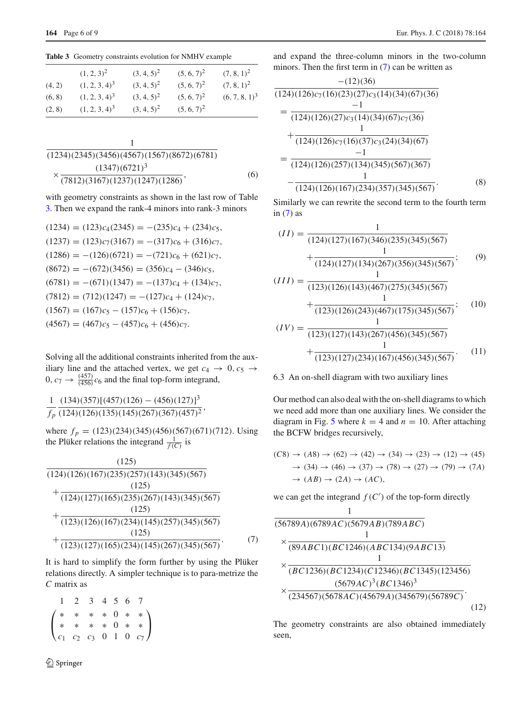<span id="page-5-0"></span>**Table 3** Geometry constraints evolution for NMHV example

|        | $(1, 2, 3)^2$    | $(3, 4, 5)^2$ | $(5, 6, 7)^2$ | $(7, 8, 1)^2$    |
|--------|------------------|---------------|---------------|------------------|
| (4, 2) | $(1, 2, 3, 4)^3$ | $(3, 4, 5)^2$ | $(5, 6, 7)^2$ | $(7, 8, 1)^2$    |
| (6, 8) | $(1, 2, 3, 4)^3$ | $(3, 4, 5)^2$ | $(5, 6, 7)^2$ | $(6, 7, 8, 1)^3$ |
| (2, 8) | $(1, 2, 3, 4)^3$ | $(3, 4, 5)^2$ | $(5, 6, 7)^2$ |                  |

$$
\frac{1}{(1234)(2345)(3456)(4567)(1567)(8672)(6781)}
$$
\n
$$
\times \frac{(1347)(6721)^3}{(7812)(3167)(1237)(1247)(1286)},
$$
\n(6)

with geometry constraints as shown in the last row of Table [3.](#page-5-0) Then we expand the rank-4 minors into rank-3 minors

$$
(1234) = (123)c_4(2345) = -(235)c_4 + (234)c_5,
$$
  
\n
$$
(1237) = (123)c_7(3167) = -(317)c_6 + (316)c_7,
$$
  
\n
$$
(1286) = -(126)(6721) = -(721)c_6 + (621)c_7,
$$
  
\n
$$
(8672) = -(672)(3456) = (356)c_4 - (346)c_5,
$$
  
\n
$$
(6781) = -(671)(1347) = -(137)c_4 + (134)c_7,
$$
  
\n
$$
(7812) = (712)(1247) = -(127)c_4 + (124)c_7,
$$
  
\n
$$
(1567) = (167)c_5 - (157)c_6 + (156)c_7,
$$
  
\n
$$
(4567) = (467)c_5 - (457)c_6 + (456)c_7.
$$

Solving all the additional constraints inherited from the auxiliary line and the attached vertex, we get  $c_4 \rightarrow 0, c_5 \rightarrow$  $0, c_7 \rightarrow \frac{(457)}{(456)}c_6$  and the final top-form integrand,

$$
\frac{1}{f_p} \frac{(134)(357)[(457)(126) - (456)(127)]^3}{(124)(126)(135)(145)(267)(367)(457)^2}
$$

where  $f_p = (123)(234)(345)(456)(567)(671)(712)$ . Using the Plüker relations the integrand  $\frac{1}{f(C)}$  is

<span id="page-5-1"></span>
$$
\frac{(125)}{(124)(126)(167)(235)(257)(143)(345)(567)}
$$
  
+ 
$$
\frac{(125)}{(124)(127)(165)(235)(267)(143)(345)(567)}
$$
  
+ 
$$
\frac{(125)}{(123)(126)(167)(234)(145)(257)(345)(567)}
$$
  
+ 
$$
\frac{(125)}{(123)(127)(165)(234)(145)(267)(345)(567)}
$$
 (7)

It is hard to simplify the form further by using the Plüker relations directly. A simpler technique is to para-metrize the *C* matrix as

| $1 \t2 \t3 \t4 \t5 \t6 \t7$ |  |  |                                                                                                                                              |
|-----------------------------|--|--|----------------------------------------------------------------------------------------------------------------------------------------------|
|                             |  |  | $\left(\begin{array}{cccccc} * & * & * & * & 0 & * & * \\ * & * & * & * & 0 & * & * \\ c_1 & c_2 & c_3 & 0 & 1 & 0 & c_7 \end{array}\right)$ |
|                             |  |  |                                                                                                                                              |
|                             |  |  |                                                                                                                                              |

and expand the three-column minors in the two-column minors. Then the first term in [\(7\)](#page-5-1) can be written as

$$
\frac{-(12)(36)}{(124)(126)c_7(16)(23)(27)c_3(14)(34)(67)(36)}
$$
\n
$$
=\frac{-1}{(124)(126)(27)c_3(14)(34)(67)c_7(36)}
$$
\n
$$
+\frac{1}{(124)(126)c_7(16)(37)c_3(24)(34)(67)}
$$
\n
$$
=\frac{-1}{(124)(126)(257)(134)(345)(567)(367)}
$$
\n
$$
-\frac{1}{(124)(126)(167)(234)(357)(345)(567)}.
$$
\n(8)

Similarly we can rewrite the second term to the fourth term in  $(7)$  as

$$
(II) = \frac{1}{(124)(127)(167)(346)(235)(345)(567)}
$$
  
+ 
$$
\frac{1}{(124)(127)(134)(267)(356)(345)(567)}
$$
  

$$
(III) = \frac{1}{(123)(126)(143)(467)(275)(345)(567)}
$$
  
+ 
$$
\frac{1}{(123)(126)(243)(467)(175)(345)(567)}
$$
  

$$
(IV) = \frac{1}{(123)(127)(143)(267)(456)(345)(567)}
$$
  
+ 
$$
\frac{1}{(123)(127)(234)(167)(456)(345)(567)}
$$
 (11)

## 6.3 An on-shell diagram with two auxiliary lines

Our method can also deal with the on-shell diagrams to which we need add more than one auxiliary lines. We consider the diagram in Fig. [5](#page-6-0) where  $k = 4$  and  $n = 10$ . After attaching the BCFW bridges recursively,

$$
(C8) \rightarrow (A8) \rightarrow (62) \rightarrow (42) \rightarrow (34) \rightarrow (23) \rightarrow (12) \rightarrow (45)
$$
  
\n
$$
\rightarrow (34) \rightarrow (46) \rightarrow (37) \rightarrow (78) \rightarrow (27) \rightarrow (79) \rightarrow (7A)
$$
  
\n
$$
\rightarrow (AB) \rightarrow (2A) \rightarrow (AC),
$$

we can get the integrand  $f(C')$  of the top-form directly

<span id="page-5-2"></span>
$$
\frac{1}{(56789A)(6789AC)(5679AB)(789ABC)}
$$
\n
$$
\times \frac{1}{(89ABC1)(BC1246)(ABC134)(9ABC13)}
$$
\n
$$
\times \frac{1}{(BC1236)(BC1234)(C12346)(BC1345)(123456)}
$$
\n
$$
\times \frac{(5679AC)^3(BC1346)^3}{(234567)(5678AC)(45679A)(345679)(56789C)}.
$$
\n(12)

The geometry constraints are also obtained immediately seen,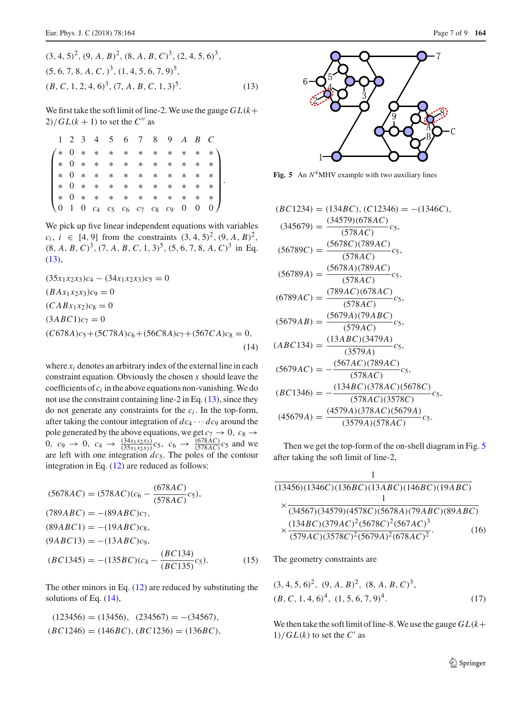$$
(3, 4, 5)^2
$$
,  $(9, A, B)^2$ ,  $(8, A, B, C)^3$ ,  $(2, 4, 5, 6)^3$ ,  
 $(5, 6, 7, 8, A, C, )^3$ ,  $(1, 4, 5, 6, 7, 9)^5$ ,  
 $(B, C, 1, 2, 4, 6)^3$ ,  $(7, A, B, C, 1, 3)^5$ . (13)

We first take the soft limit of line-2. We use the gauge  $GL(k+1)$  $2)/GL(k + 1)$  to set the  $C''$  as

|  |  |  |  | 1 2 3 4 5 6 7 8 9 A B C |  |  |
|--|--|--|--|-------------------------|--|--|
|  |  |  |  |                         |  |  |
|  |  |  |  |                         |  |  |
|  |  |  |  |                         |  |  |
|  |  |  |  |                         |  |  |
|  |  |  |  |                         |  |  |
|  |  |  |  |                         |  |  |

We pick up five linear independent equations with variables  $c_i$ ,  $i \in [4, 9]$  from the constraints  $(3, 4, 5)^2$ ,  $(9, A, B)^2$ ,  $(8, A, B, C)^3$ ,  $(7, A, B, C, 1, 3)^5$ ,  $(5, 6, 7, 8, A, C)^3$  in Eq.  $(13)$ ,

<span id="page-6-2"></span>
$$
(35x_1x_2x_3)c_4 - (34x_1x_2x_3)c_5 = 0
$$
  
(*B Ax*<sub>1</sub>*x*<sub>2</sub>*x*<sub>3</sub>)*c*<sub>9</sub> = 0  
(*C ABx*<sub>1</sub>*x*<sub>2</sub>)*c*<sub>8</sub> = 0  
(3*ABC*1)*c*<sub>7</sub> = 0  
(*C678A*)*c*<sub>5</sub> + (5*C78A*)*c*<sub>6</sub> + (56*C8A*)*c*<sub>7</sub> + (567*C A*)*c*<sub>8</sub> = 0,  
(14)

where *xi* denotes an arbitrary index of the external line in each constraint equation. Obviously the chosen *x* should leave the coefficients of *ci* in the above equations non-vanishing. We do not use the constraint containing line-2 in Eq. [\(13\)](#page-6-1), since they do not generate any constraints for the *ci* . In the top-form, after taking the contour integration of  $dc_4 \cdots dc_9$  around the pole generated by the above equations, we get  $c_7 \rightarrow 0$ ,  $c_8 \rightarrow c_8$ 0,  $c_9 \rightarrow 0$ ,  $c_4 \rightarrow \frac{(34x_1x_2x_3)}{(35x_1x_2x_3)}c_5$ ,  $c_6 \rightarrow \frac{(678AC)}{(578AC)}c_5$  and we are left with one integration *dc*5. The poles of the contour integration in Eq. [\(12\)](#page-5-2) are reduced as follows:

$$
(5678AC) = (578AC)(c_6 - \frac{(678AC)}{(578AC)}c_5),
$$
  
\n
$$
(789ABC) = -(89ABC)c_7,
$$
  
\n
$$
(89ABC1) = -(19ABC)c_8,
$$
  
\n
$$
(9ABC13) = -(13ABC)c_9,
$$
  
\n
$$
(BC1345) = -(135BC)(c_4 - \frac{(BC134)}{(BC135)}c_5).
$$
  
\n(15)

The other minors in Eq.  $(12)$  are reduced by substituting the solutions of Eq. [\(14\)](#page-6-2),

$$
(123456) = (13456), (234567) = -(34567),
$$
  
(BC1246) = (146BC), (BC1236) = (136BC),

<span id="page-6-1"></span>

<span id="page-6-0"></span>**Fig. 5** An  $N^4$ MHV example with two auxiliary lines

$$
(BC1234) = (134BC), (C12346) = -(1346C),
$$
  
\n
$$
(345679) = \frac{(34579)(678AC)}{(578AC)}c_5,
$$
  
\n
$$
(56789C) = \frac{(5678C)(789AC)}{(578AC)}c_5,
$$
  
\n
$$
(56789A) = \frac{(5678A)(789AC)}{(578AC)}c_5,
$$
  
\n
$$
(6789AC) = \frac{(789AC)(678AC)}{(578AC)}c_5,
$$
  
\n
$$
(5679AB) = \frac{(5679A)(79ABC)}{(579AC)}c_5,
$$
  
\n
$$
(ABC134) = \frac{(13ABC)(3479A)}{(3579A)}c_5,
$$
  
\n
$$
(5679AC) = -\frac{(567AC)(789AC)}{(578AC)}c_5,
$$
  
\n
$$
(BC1346) = -\frac{(134BC)(378AC)(5678C)}{(578AC)(3578C)}c_5,
$$
  
\n
$$
(45679A) = \frac{(4579A)(378AC)(5679A)}{(3579A)(578AC)}c_5.
$$

Then we get the top-form of the on-shell diagram in Fig. [5](#page-6-0) after taking the soft limit of line-2,

$$
\frac{1}{(13456)(1346C)(136BC)(13ABC)(146BC)(19ABC)}
$$
\n
$$
\times \frac{1}{(34567)(34579)(4578C)(5678A)(79ABC)(89ABC)}
$$
\n
$$
\times \frac{(134BC)(379AC)^{2}(5678C)^{2}(567AC)^{3}}{(579AC)(3578C)^{2}(5679A)^{2}(678AC)^{2}}.
$$
\n(16)

The geometry constraints are

$$
(3, 4, 5, 6)^2
$$
,  $(9, A, B)^2$ ,  $(8, A, B, C)^3$ ,  
 $(B, C, 1, 4, 6)^4$ ,  $(1, 5, 6, 7, 9)^4$ . (17)

We then take the soft limit of line-8. We use the gauge  $GL(k+1)$  $1)/GL(k)$  to set the  $C'$  as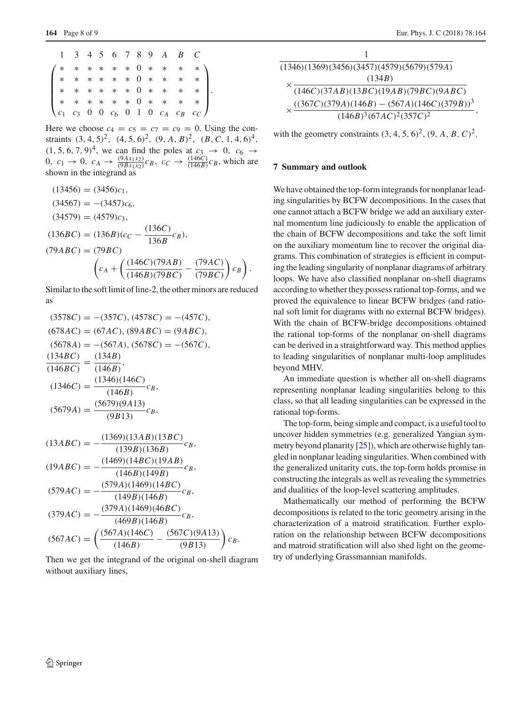|  |  |  |  | 1 3 4 5 6 7 8 9 A B C |                                                                                                                                                                                                                                                            |  |
|--|--|--|--|-----------------------|------------------------------------------------------------------------------------------------------------------------------------------------------------------------------------------------------------------------------------------------------------|--|
|  |  |  |  |                       | $\begin{pmatrix} * & * & * & * & * & 0 & * & * & * & * \\ * & * & * & * & * & 0 & * & * & * & * \\ * & * & * & * & * & 0 & * & * & * & * \\ * & * & * & * & * & 0 & * & * & * & * \\ c_1 & c_3 & 0 & 0 & c_6 & 0 & 1 & 0 & c_A & c_B & c_C \end{pmatrix}.$ |  |
|  |  |  |  |                       |                                                                                                                                                                                                                                                            |  |
|  |  |  |  |                       |                                                                                                                                                                                                                                                            |  |
|  |  |  |  |                       |                                                                                                                                                                                                                                                            |  |
|  |  |  |  |                       |                                                                                                                                                                                                                                                            |  |

Here we choose  $c_4 = c_5 = c_7 = c_9 = 0$ . Using the constraints  $(3, 4, 5)^2$ ,  $(4, 5, 6)^2$ ,  $(9, A, B)^2$ ,  $(B, C, 1, 4, 6)^4$ ,  $(1, 5, 6, 7, 9)^4$ , we can find the poles at  $c_3 \to 0$ ,  $c_6 \to c_6$ 0,  $c_1 \rightarrow 0$ ,  $c_A \rightarrow \frac{(9Ax_1x_2)}{(9Bx_1x_2)}c_B$ ,  $c_C \rightarrow \frac{(146C)}{(146B)}c_B$ , which are shown in the integrand as

$$
(13456) = (3456)c1,(34567) = -(3457)c6,(34579) = (4579)c3,(136BC) = (136B)(cC - \frac{(136C)}{136B}cB),(79ABC) = (79BC)
$$
\left(cA + \left(\frac{(146C)(79AB)}{(146B)(79BC)} - \frac{(79AC)}{(79BC)}\right)cB\right).
$$
$$

Similar to the soft limit of line-2, the other minors are reduced as

$$
(3578C) = -(357C), (4578C) = -(457C),
$$
  
\n
$$
(678AC) = (67AC), (89ABC) = (9ABC),
$$
  
\n
$$
(5678A) = -(567A), (5678C) = -(567C),
$$
  
\n
$$
\frac{(134BC)}{(146BC)} = \frac{(134B)}{(146B)},
$$
  
\n
$$
(1346C) = \frac{(1346)(146C)}{(146B)}c_B,
$$
  
\n
$$
(5679A) = \frac{(5679)(9A13)}{(9B13)}c_B,
$$
  
\n
$$
(13ABC) = -\frac{(1369)(13AB)(13BC)}{(139B)(136B)}c_B,
$$
  
\n
$$
(19ABC) = -\frac{(1469)(14BC)(19AB)}{(146B)(149B)}c_B,
$$
  
\n
$$
(579AC) = -\frac{(579A)(1469)(14BC)}{(149B)(146B)}c_B,
$$
  
\n
$$
(379AC) = -\frac{(379A)(1469)(46BC)}{(469B)(146B)}c_B,
$$

 $(567AC) = \left(\frac{(567A)(146C)}{(146B)} - \frac{(567C)(9A13)}{(9B13)}\right)$ Then we get the integrand of the original on-shell diagram without auxiliary lines,

 $\bigg)$   $c_B$ .

| $(1346)(1369)(3456)(3457)(4579)(5679)(579A)$  |
|-----------------------------------------------|
| (134B)                                        |
| (146C)(37AB)(13BC)(19AB)(79BC)(9ABC)          |
| $((367C)(379A)(146B) - (567A)(146C)(379B))^3$ |
| $(146B)^3(67AC)^2(357C)^2$                    |

with the geometry constraints  $(3, 4, 5, 6)^2$ ,  $(9, A, B, C)^2$ .

### **7 Summary and outlook**

We have obtained the top-form integrands for nonplanar leading singularities by BCFW decompositions. In the cases that one cannot attach a BCFW bridge we add an auxiliary external momentum line judiciously to enable the application of the chain of BCFW decompositions and take the soft limit on the auxiliary momentum line to recover the original diagrams. This combination of strategies is efficient in computing the leading singularity of nonplanar diagrams of arbitrary loops. We have also classified nonplanar on-shell diagrams according to whether they possess rational top-forms, and we proved the equivalence to linear BCFW bridges (and rational soft limit for diagrams with no external BCFW bridges). With the chain of BCFW-bridge decompositions obtained the rational top-forms of the nonplanar on-shell diagrams can be derived in a straightforward way. This method applies to leading singularities of nonplanar multi-loop amplitudes beyond MHV.

An immediate question is whether all on-shell diagrams representing nonplanar leading singularities belong to this class, so that all leading singularities can be expressed in the rational top-forms.

The top-form, being simple and compact, is a useful tool to uncover hidden symmetries (e.g. generalized Yangian symmetry beyond planarity [\[25\]](#page-8-18)), which are otherwise highly tangled in nonplanar leading singularities. When combined with the generalized unitarity cuts, the top-form holds promise in constructing the integrals as well as revealing the symmetries and dualities of the loop-level scattering amplitudes.

Mathematically our method of performing the BCFW decompositions is related to the toric geometry arising in the characterization of a matroid stratification. Further exploration on the relationship between BCFW decompositions and matroid stratification will also shed light on the geometry of underlying Grassmannian manifolds.